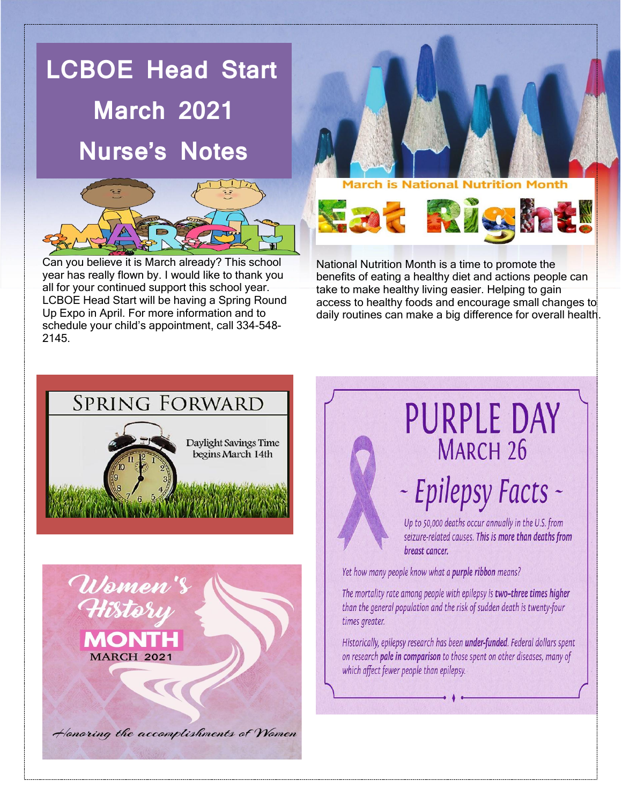## **LCBOE Head Start March 2021 Nurse's Notes**



Can you believe it is March already? This school year has really flown by. I would like to thank you all for your continued support this school year. LCBOE Head Start will be having a Spring Round Up Expo in April. For more information and to schedule your child's appointment, call 334-548- 2145.





National Nutrition Month is a time to promote the benefits of eating a healthy diet and actions people can take to make healthy living easier. Helping to gain access to healthy foods and encourage small changes to daily routines can make a big difference for overall health.



Women Histor **MARCH 202** 

Honoring the accomplishments of Women

PURPLE DAY MARCH<sub>26</sub>

- Epilepsy Facts -Up to 50,000 deaths occur annually in the U.S. from

seizure-related causes. This is more than deaths from breast cancer.

Yet how many people know what a purple ribbon means?

The mortality rate among people with epilepsy is two-three times higher than the general population and the risk of sudden death is twenty-four times greater.

Historically, epilepsy research has been under-funded. Federal dollars spent on research pale in comparison to those spent on other diseases, many of which affect fewer people than epilepsy.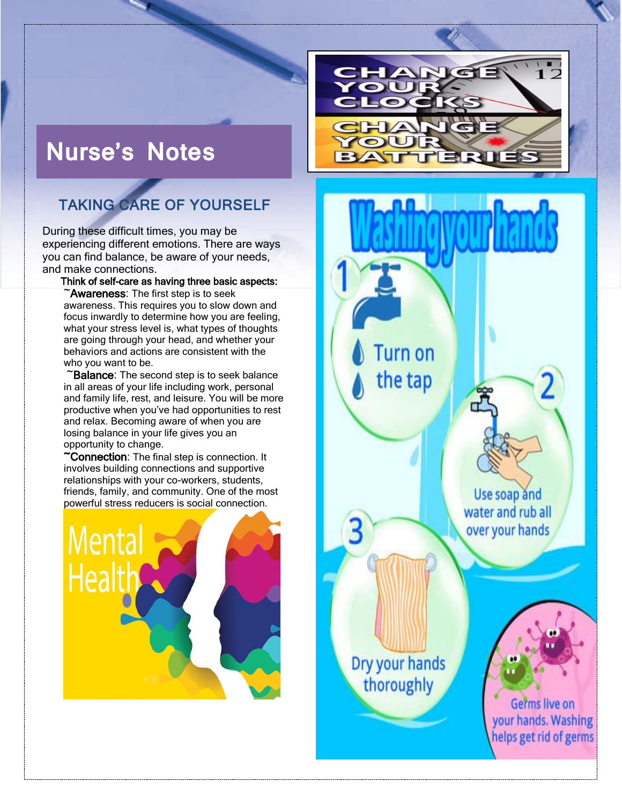## **Nurse's Notes**

## TAKING CARE OF YOURSELF

During these difficult times, you may be experiencing different emotions. There are ways you can find balance, be aware of your needs, and make connections.

Think of self-care as having three basic aspects: Awareness: The first step is to seek

awareness. This requires you to slow down and focus inwardly to determine how you are feeling, what your stress level is, what types of thoughts are going through your head, and whether your behaviors and actions are consistent with the who you want to be.

**Ealance:** The second step is to seek balance in all areas of your life including work, personal and family life, rest, and leisure. You will be more productive when you've had opportunities to rest and relax. Becoming aware of when you are losing balance in your life gives you an opportunity to change.

~Connection: The final step is connection. It involves building connections and supportive relationships with your co-workers, students, friends, family, and community. One of the most powerful stress reducers is social connection.





Dry your hands thoroughly

Germs live on your hands. Washing helps get rid of germs